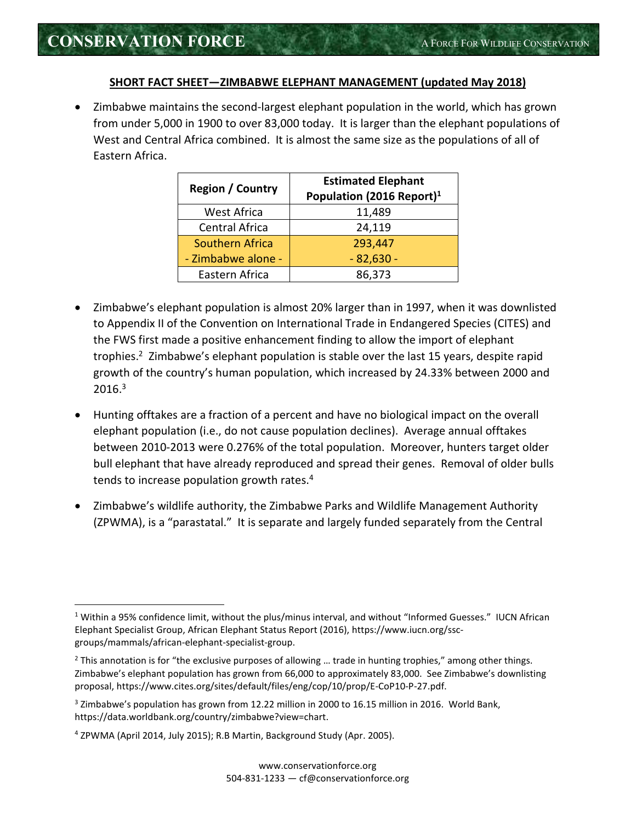<u>.</u>

## **SHORT FACT SHEET—ZIMBABWE ELEPHANT MANAGEMENT (updated May 2018)**

 Zimbabwe maintains the second-largest elephant population in the world, which has grown from under 5,000 in 1900 to over 83,000 today. It is larger than the elephant populations of West and Central Africa combined. It is almost the same size as the populations of all of Eastern Africa.

| <b>Region / Country</b> | <b>Estimated Elephant</b><br>Population (2016 Report) <sup>1</sup> |
|-------------------------|--------------------------------------------------------------------|
| <b>West Africa</b>      | 11,489                                                             |
| Central Africa          | 24,119                                                             |
| Southern Africa         | 293,447                                                            |
| - Zimbabwe alone -      | $-82,630-$                                                         |
| Eastern Africa          | 86,373                                                             |

- Zimbabwe's elephant population is almost 20% larger than in 1997, when it was downlisted to Appendix II of the Convention on International Trade in Endangered Species (CITES) and the FWS first made a positive enhancement finding to allow the import of elephant trophies.<sup>2</sup> Zimbabwe's elephant population is stable over the last 15 years, despite rapid growth of the country's human population, which increased by 24.33% between 2000 and  $2016.<sup>3</sup>$
- Hunting offtakes are a fraction of a percent and have no biological impact on the overall elephant population (i.e., do not cause population declines). Average annual offtakes between 2010-2013 were 0.276% of the total population. Moreover, hunters target older bull elephant that have already reproduced and spread their genes. Removal of older bulls tends to increase population growth rates.<sup>4</sup>
- Zimbabwe's wildlife authority, the Zimbabwe Parks and Wildlife Management Authority (ZPWMA), is a "parastatal." It is separate and largely funded separately from the Central

<sup>&</sup>lt;sup>1</sup> Within a 95% confidence limit, without the plus/minus interval, and without "Informed Guesses." IUCN African Elephant Specialist Group, African Elephant Status Report (2016), https://www.iucn.org/sscgroups/mammals/african-elephant-specialist-group.

 $<sup>2</sup>$  This annotation is for "the exclusive purposes of allowing ... trade in hunting trophies," among other things.</sup> Zimbabwe's elephant population has grown from 66,000 to approximately 83,000. See Zimbabwe's downlisting proposal, https://www.cites.org/sites/default/files/eng/cop/10/prop/E-CoP10-P-27.pdf.

<sup>&</sup>lt;sup>3</sup> Zimbabwe's population has grown from 12.22 million in 2000 to 16.15 million in 2016. World Bank, https://data.worldbank.org/country/zimbabwe?view=chart.

<sup>4</sup> ZPWMA (April 2014, July 2015); R.B Martin, Background Study (Apr. 2005).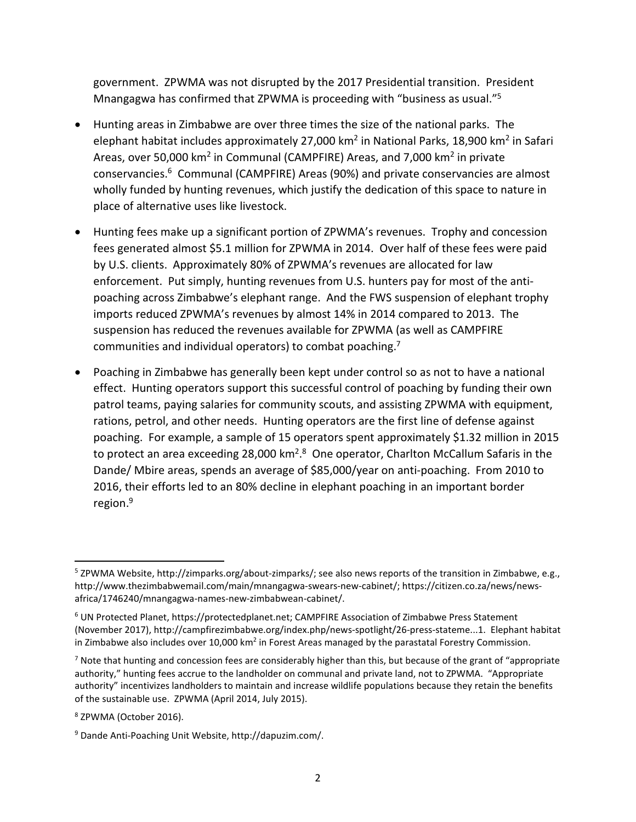government. ZPWMA was not disrupted by the 2017 Presidential transition. President Mnangagwa has confirmed that ZPWMA is proceeding with "business as usual."<sup>5</sup>

- Hunting areas in Zimbabwe are over three times the size of the national parks. The elephant habitat includes approximately 27,000 km<sup>2</sup> in National Parks, 18,900 km<sup>2</sup> in Safari Areas, over 50,000 km<sup>2</sup> in Communal (CAMPFIRE) Areas, and 7,000 km<sup>2</sup> in private conservancies.<sup>6</sup> Communal (CAMPFIRE) Areas (90%) and private conservancies are almost wholly funded by hunting revenues, which justify the dedication of this space to nature in place of alternative uses like livestock.
- Hunting fees make up a significant portion of ZPWMA's revenues. Trophy and concession fees generated almost \$5.1 million for ZPWMA in 2014. Over half of these fees were paid by U.S. clients. Approximately 80% of ZPWMA's revenues are allocated for law enforcement. Put simply, hunting revenues from U.S. hunters pay for most of the antipoaching across Zimbabwe's elephant range. And the FWS suspension of elephant trophy imports reduced ZPWMA's revenues by almost 14% in 2014 compared to 2013. The suspension has reduced the revenues available for ZPWMA (as well as CAMPFIRE communities and individual operators) to combat poaching.<sup>7</sup>
- Poaching in Zimbabwe has generally been kept under control so as not to have a national effect. Hunting operators support this successful control of poaching by funding their own patrol teams, paying salaries for community scouts, and assisting ZPWMA with equipment, rations, petrol, and other needs. Hunting operators are the first line of defense against poaching. For example, a sample of 15 operators spent approximately \$1.32 million in 2015 to protect an area exceeding 28,000 km<sup>2,8</sup> One operator, Charlton McCallum Safaris in the Dande/ Mbire areas, spends an average of \$85,000/year on anti-poaching. From 2010 to 2016, their efforts led to an 80% decline in elephant poaching in an important border region.<sup>9</sup>

<u>.</u>

<sup>&</sup>lt;sup>5</sup> ZPWMA Website, http://zimparks.org/about-zimparks/; see also news reports of the transition in Zimbabwe, e.g., http://www.thezimbabwemail.com/main/mnangagwa-swears-new-cabinet/; https://citizen.co.za/news/newsafrica/1746240/mnangagwa-names-new-zimbabwean-cabinet/.

<sup>&</sup>lt;sup>6</sup> UN Protected Planet, https://protectedplanet.net; CAMPFIRE Association of Zimbabwe Press Statement (November 2017), http://campfirezimbabwe.org/index.php/news-spotlight/26-press-stateme...1. Elephant habitat in Zimbabwe also includes over 10,000 km<sup>2</sup> in Forest Areas managed by the parastatal Forestry Commission.

<sup>&</sup>lt;sup>7</sup> Note that hunting and concession fees are considerably higher than this, but because of the grant of "appropriate authority," hunting fees accrue to the landholder on communal and private land, not to ZPWMA. "Appropriate authority" incentivizes landholders to maintain and increase wildlife populations because they retain the benefits of the sustainable use. ZPWMA (April 2014, July 2015).

<sup>8</sup> ZPWMA (October 2016).

<sup>9</sup> Dande Anti-Poaching Unit Website, http://dapuzim.com/.